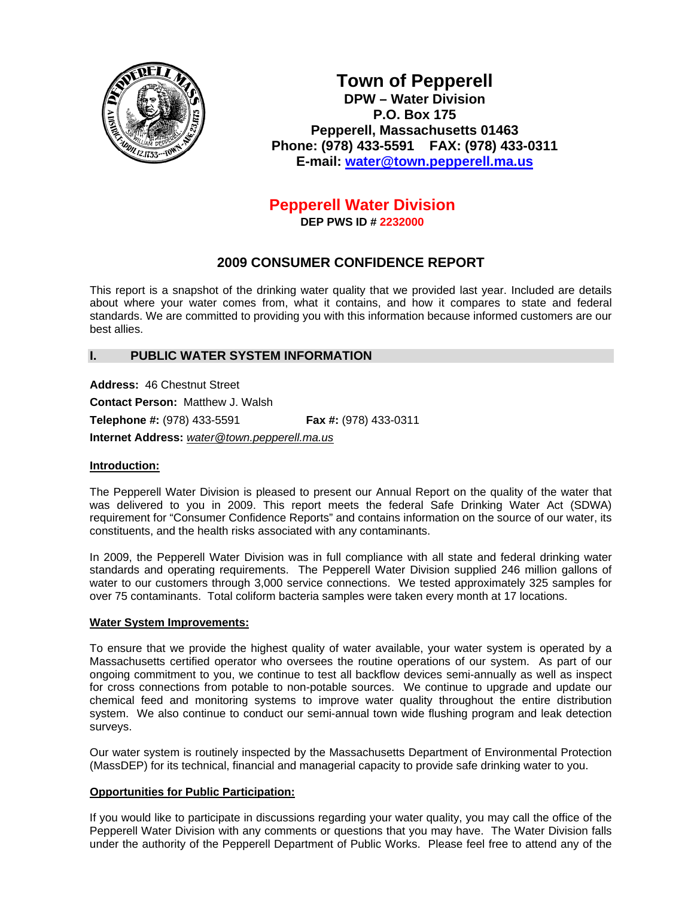

**Town of Pepperell DPW – Water Division P.O. Box 175 Pepperell, Massachusetts 01463 Phone: (978) 433-5591 FAX: (978) 433-0311 E-mail: [water@town.pepperell.ma.us](mailto:water@town.pepperell.ma.us)**

# **Pepperell Water Division**

**DEP PWS ID # 2232000**

# **2009 CONSUMER CONFIDENCE REPORT**

This report is a snapshot of the drinking water quality that we provided last year. Included are details about where your water comes from, what it contains, and how it compares to state and federal standards. We are committed to providing you with this information because informed customers are our best allies.

# **I. PUBLIC WATER SYSTEM INFORMATION**

**Address:** 46 Chestnut Street

**Contact Person:** Matthew J. Walsh

**Telephone #:** (978) 433-5591 **Fax #:** (978) 433-0311

**Internet Address:** *[water@town.pepperell.ma.us](mailto:water@town.pepperell.ma.us)*

#### **Introduction:**

The Pepperell Water Division is pleased to present our Annual Report on the quality of the water that was delivered to you in 2009. This report meets the federal Safe Drinking Water Act (SDWA) requirement for "Consumer Confidence Reports" and contains information on the source of our water, its constituents, and the health risks associated with any contaminants.

In 2009, the Pepperell Water Division was in full compliance with all state and federal drinking water standards and operating requirements. The Pepperell Water Division supplied 246 million gallons of water to our customers through 3,000 service connections. We tested approximately 325 samples for over 75 contaminants. Total coliform bacteria samples were taken every month at 17 locations.

#### **Water System Improvements:**

To ensure that we provide the highest quality of water available, your water system is operated by a Massachusetts certified operator who oversees the routine operations of our system. As part of our ongoing commitment to you, we continue to test all backflow devices semi-annually as well as inspect for cross connections from potable to non-potable sources. We continue to upgrade and update our chemical feed and monitoring systems to improve water quality throughout the entire distribution system. We also continue to conduct our semi-annual town wide flushing program and leak detection surveys.

Our water system is routinely inspected by the Massachusetts Department of Environmental Protection (MassDEP) for its technical, financial and managerial capacity to provide safe drinking water to you.

#### **Opportunities for Public Participation:**

If you would like to participate in discussions regarding your water quality, you may call the office of the Pepperell Water Division with any comments or questions that you may have. The Water Division falls under the authority of the Pepperell Department of Public Works. Please feel free to attend any of the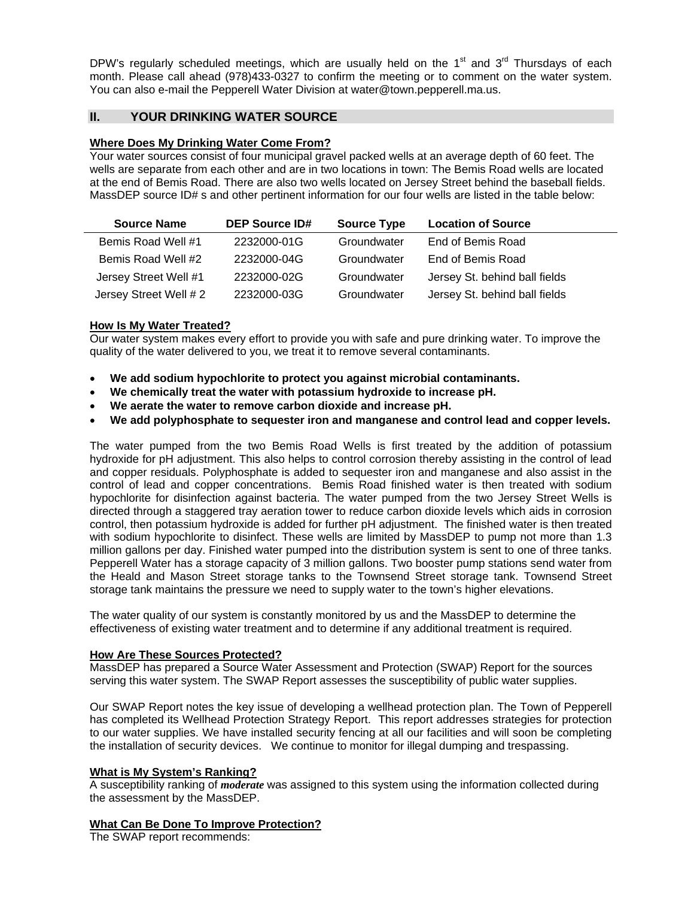DPW's regularly scheduled meetings, which are usually held on the  $1<sup>st</sup>$  and  $3<sup>rd</sup>$  Thursdays of each month. Please call ahead (978)433-0327 to confirm the meeting or to comment on the water system. You can also e-mail the Pepperell Water Division at [water@town.pepperell.ma.us](mailto:water@town.pepperell.ma.us).

# **II. YOUR DRINKING WATER SOURCE**

# **Where Does My Drinking Water Come From?**

Your water sources consist of four municipal gravel packed wells at an average depth of 60 feet. The wells are separate from each other and are in two locations in town: The Bemis Road wells are located at the end of Bemis Road. There are also two wells located on Jersey Street behind the baseball fields. MassDEP source ID# s and other pertinent information for our four wells are listed in the table below:

| <b>Source Name</b>     | <b>DEP Source ID#</b> | <b>Source Type</b> | <b>Location of Source</b>     |
|------------------------|-----------------------|--------------------|-------------------------------|
| Bemis Road Well #1     | 2232000-01G           | Groundwater        | End of Bemis Road             |
| Bemis Road Well #2     | 2232000-04G           | Groundwater        | End of Bemis Road             |
| Jersey Street Well #1  | 2232000-02G           | Groundwater        | Jersey St. behind ball fields |
| Jersey Street Well # 2 | 2232000-03G           | Groundwater        | Jersey St. behind ball fields |

#### **How Is My Water Treated?**

Our water system makes every effort to provide you with safe and pure drinking water. To improve the quality of the water delivered to you, we treat it to remove several contaminants.

- **We add sodium hypochlorite to protect you against microbial contaminants.**
- **We chemically treat the water with potassium hydroxide to increase pH.**
- **We aerate the water to remove carbon dioxide and increase pH.**
- **We add polyphosphate to sequester iron and manganese and control lead and copper levels.**

The water pumped from the two Bemis Road Wells is first treated by the addition of potassium hydroxide for pH adjustment. This also helps to control corrosion thereby assisting in the control of lead and copper residuals. Polyphosphate is added to sequester iron and manganese and also assist in the control of lead and copper concentrations. Bemis Road finished water is then treated with sodium hypochlorite for disinfection against bacteria. The water pumped from the two Jersey Street Wells is directed through a staggered tray aeration tower to reduce carbon dioxide levels which aids in corrosion control, then potassium hydroxide is added for further pH adjustment. The finished water is then treated with sodium hypochlorite to disinfect. These wells are limited by MassDEP to pump not more than 1.3 million gallons per day. Finished water pumped into the distribution system is sent to one of three tanks. Pepperell Water has a storage capacity of 3 million gallons. Two booster pump stations send water from the Heald and Mason Street storage tanks to the Townsend Street storage tank. Townsend Street storage tank maintains the pressure we need to supply water to the town's higher elevations.

The water quality of our system is constantly monitored by us and the MassDEP to determine the effectiveness of existing water treatment and to determine if any additional treatment is required.

#### **How Are These Sources Protected?**

MassDEP has prepared a Source Water Assessment and Protection (SWAP) Report for the sources serving this water system. The SWAP Report assesses the susceptibility of public water supplies.

Our SWAP Report notes the key issue of developing a wellhead protection plan. The Town of Pepperell has completed its Wellhead Protection Strategy Report. This report addresses strategies for protection to our water supplies. We have installed security fencing at all our facilities and will soon be completing the installation of security devices.We continue to monitor for illegal dumping and trespassing.

#### **What is My System's Ranking?**

A susceptibility ranking of *moderate* was assigned to this system using the information collected during the assessment by the MassDEP.

#### **What Can Be Done To Improve Protection?**

The SWAP report recommends: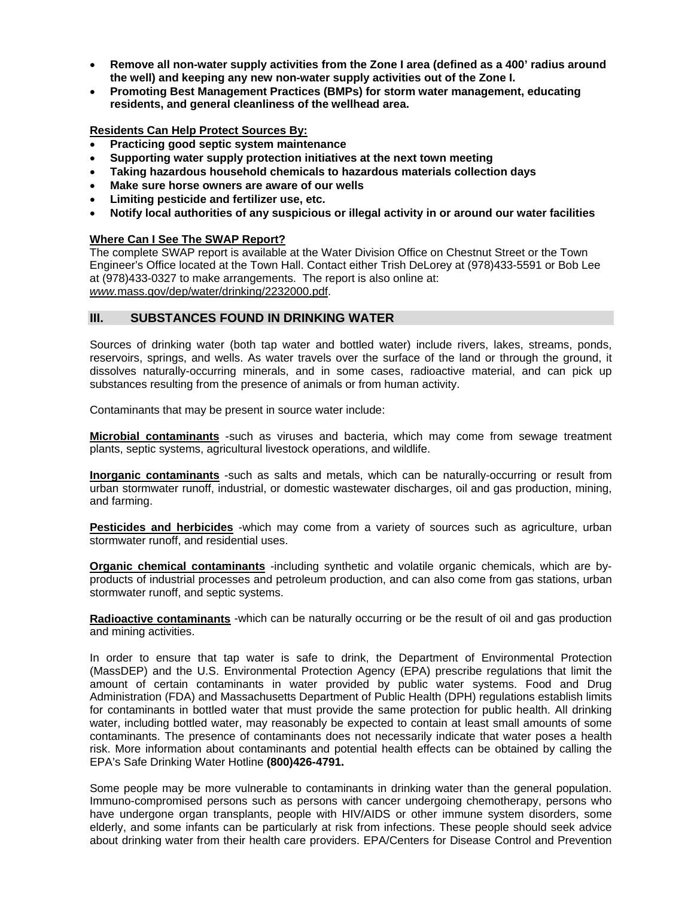- **Remove all non-water supply activities from the Zone I area (defined as a 400' radius around the well) and keeping any new non-water supply activities out of the Zone I.**
- **Promoting Best Management Practices (BMPs) for storm water management, educating residents, and general cleanliness of the wellhead area.**

### **Residents Can Help Protect Sources By:**

- **Practicing good septic system maintenance**
- **Supporting water supply protection initiatives at the next town meeting**
- **Taking hazardous household chemicals to hazardous materials collection days**
- **Make sure horse owners are aware of our wells**
- **Limiting pesticide and fertilizer use, etc.**
- **Notify local authorities of any suspicious or illegal activity in or around our water facilities**

#### **Where Can I See The SWAP Report?**

The complete SWAP report is available at the Water Division Office on Chestnut Street or the Town Engineer's Office located at the Town Hall. Contact either Trish DeLorey at (978)433-5591 or Bob Lee at (978)433-0327 to make arrangements. The report is also online at: *[www.](http://www./)*mass.gov/dep/water/drinking/2232000.pdf.

# **III. SUBSTANCES FOUND IN DRINKING WATER**

Sources of drinking water (both tap water and bottled water) include rivers, lakes, streams, ponds, reservoirs, springs, and wells. As water travels over the surface of the land or through the ground, it dissolves naturally-occurring minerals, and in some cases, radioactive material, and can pick up substances resulting from the presence of animals or from human activity.

Contaminants that may be present in source water include:

**Microbial contaminants** -such as viruses and bacteria, which may come from sewage treatment plants, septic systems, agricultural livestock operations, and wildlife.

**Inorganic contaminants** -such as salts and metals, which can be naturally-occurring or result from urban stormwater runoff, industrial, or domestic wastewater discharges, oil and gas production, mining, and farming.

**Pesticides and herbicides** -which may come from a variety of sources such as agriculture, urban stormwater runoff, and residential uses.

**Organic chemical contaminants** -including synthetic and volatile organic chemicals, which are byproducts of industrial processes and petroleum production, and can also come from gas stations, urban stormwater runoff, and septic systems.

**Radioactive contaminants** -which can be naturally occurring or be the result of oil and gas production and mining activities.

In order to ensure that tap water is safe to drink, the Department of Environmental Protection (MassDEP) and the U.S. Environmental Protection Agency (EPA) prescribe regulations that limit the amount of certain contaminants in water provided by public water systems. Food and Drug Administration (FDA) and Massachusetts Department of Public Health (DPH) regulations establish limits for contaminants in bottled water that must provide the same protection for public health. All drinking water, including bottled water, may reasonably be expected to contain at least small amounts of some contaminants. The presence of contaminants does not necessarily indicate that water poses a health risk. More information about contaminants and potential health effects can be obtained by calling the EPA's Safe Drinking Water Hotline **(800)426-4791.**

Some people may be more vulnerable to contaminants in drinking water than the general population. Immuno-compromised persons such as persons with cancer undergoing chemotherapy, persons who have undergone organ transplants, people with HIV/AIDS or other immune system disorders, some elderly, and some infants can be particularly at risk from infections. These people should seek advice about drinking water from their health care providers. EPA/Centers for Disease Control and Prevention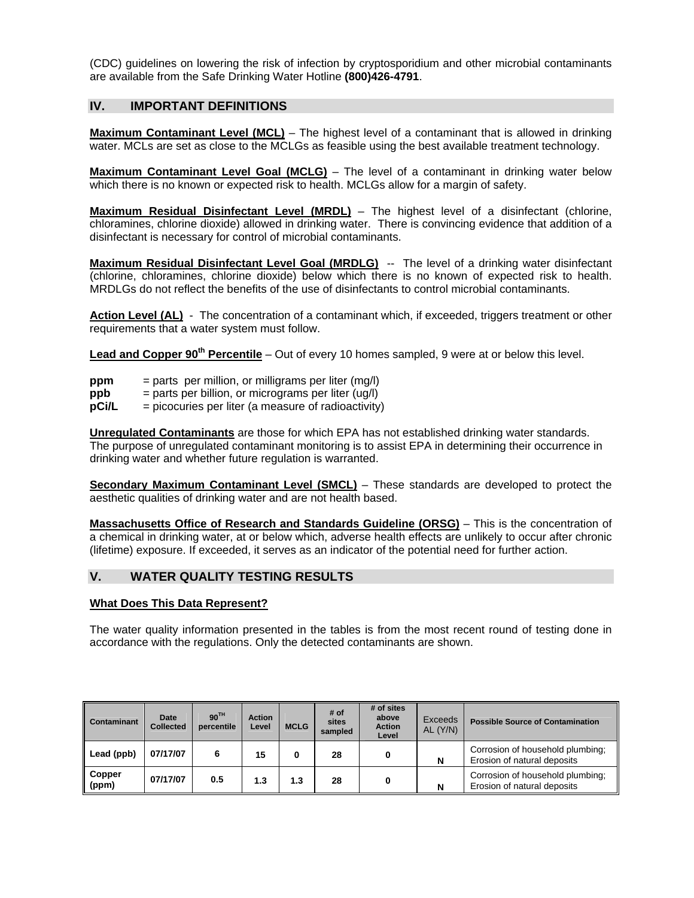(CDC) guidelines on lowering the risk of infection by cryptosporidium and other microbial contaminants are available from the Safe Drinking Water Hotline **(800)426-4791**.

# **IV. IMPORTANT DEFINITIONS**

**Maximum Contaminant Level (MCL)** – The highest level of a contaminant that is allowed in drinking water. MCLs are set as close to the MCLGs as feasible using the best available treatment technology.

**Maximum Contaminant Level Goal (MCLG)** – The level of a contaminant in drinking water below which there is no known or expected risk to health. MCLGs allow for a margin of safety.

**Maximum Residual Disinfectant Level (MRDL)** – The highest level of a disinfectant (chlorine, chloramines, chlorine dioxide) allowed in drinking water. There is convincing evidence that addition of a disinfectant is necessary for control of microbial contaminants.

**Maximum Residual Disinfectant Level Goal (MRDLG)** -- The level of a drinking water disinfectant (chlorine, chloramines, chlorine dioxide) below which there is no known of expected risk to health. MRDLGs do not reflect the benefits of the use of disinfectants to control microbial contaminants.

**Action Level (AL)** - The concentration of a contaminant which, if exceeded, triggers treatment or other requirements that a water system must follow.

**Lead and Copper 90th Percentile** – Out of every 10 homes sampled, 9 were at or below this level.

- **ppm** = parts per million, or milligrams per liter (mg/l)
- **ppb** = parts per billion, or micrograms per liter (ug/l)
- **pCi/L** = picocuries per liter (a measure of radioactivity)

**Unregulated Contaminants** are those for which EPA has not established drinking water standards. The purpose of unregulated contaminant monitoring is to assist EPA in determining their occurrence in drinking water and whether future regulation is warranted.

**Secondary Maximum Contaminant Level (SMCL)** – These standards are developed to protect the aesthetic qualities of drinking water and are not health based.

**Massachusetts Office of Research and Standards Guideline (ORSG)** – This is the concentration of a chemical in drinking water, at or below which, adverse health effects are unlikely to occur after chronic (lifetime) exposure. If exceeded, it serves as an indicator of the potential need for further action.

# **V. WATER QUALITY TESTING RESULTS**

#### **What Does This Data Represent?**

The water quality information presented in the tables is from the most recent round of testing done in accordance with the regulations. Only the detected contaminants are shown.

| Contaminant       | <b>Date</b><br><b>Collected</b> | 90 <sup>TH</sup><br>percentile | <b>Action</b><br>Level | <b>MCLG</b> | # of<br>sites<br>sampled | # of sites<br>above<br><b>Action</b><br>Level | Exceeds<br>AL (Y/N) | <b>Possible Source of Contamination</b>                         |
|-------------------|---------------------------------|--------------------------------|------------------------|-------------|--------------------------|-----------------------------------------------|---------------------|-----------------------------------------------------------------|
| Lead (ppb)        | 07/17/07                        | 6                              | 15                     | 0           | 28                       |                                               | N                   | Corrosion of household plumbing;<br>Erosion of natural deposits |
| ∥ Copper<br>(ppm) | 07/17/07                        | 0.5                            | 1.3                    | 1.3         | 28                       |                                               | N                   | Corrosion of household plumbing;<br>Erosion of natural deposits |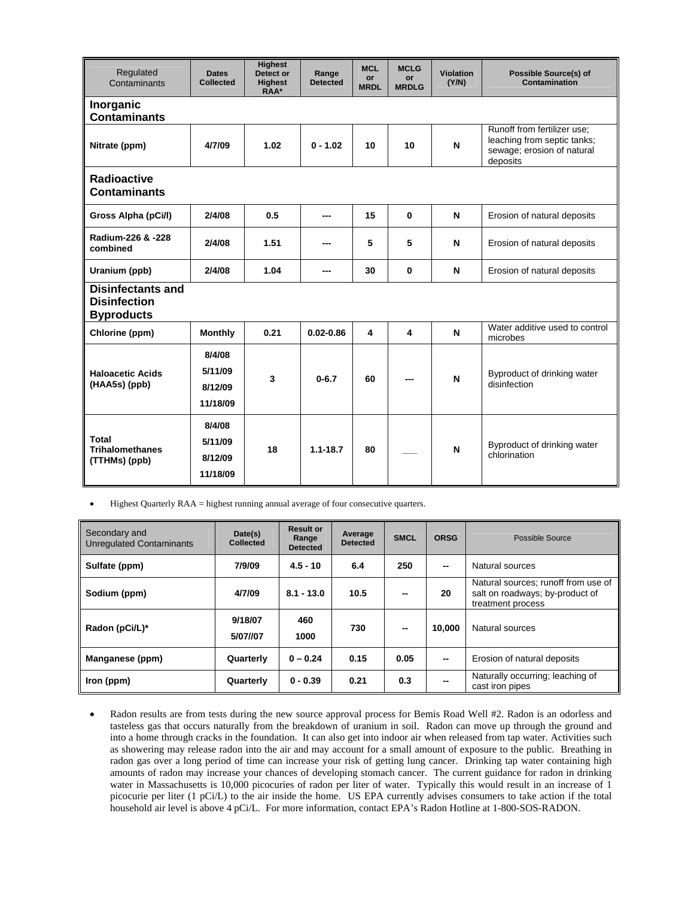| Regulated<br>Contaminants                                            | <b>Dates</b><br><b>Collected</b>         | <b>Highest</b><br>Detect or<br><b>Highest</b><br>RAA* | Range<br><b>Detected</b> | <b>MCL</b><br>or<br><b>MRDL</b> | <b>MCLG</b><br>or<br><b>MRDLG</b> | Violation<br>(Y/N) | <b>Possible Source(s) of</b><br>Contamination                                                        |  |  |
|----------------------------------------------------------------------|------------------------------------------|-------------------------------------------------------|--------------------------|---------------------------------|-----------------------------------|--------------------|------------------------------------------------------------------------------------------------------|--|--|
| Inorganic<br><b>Contaminants</b>                                     |                                          |                                                       |                          |                                 |                                   |                    |                                                                                                      |  |  |
| Nitrate (ppm)                                                        | 4/7/09                                   | 1.02                                                  | $0 - 1.02$               | 10                              | 10                                | N                  | Runoff from fertilizer use;<br>leaching from septic tanks;<br>sewage; erosion of natural<br>deposits |  |  |
| <b>Radioactive</b><br><b>Contaminants</b>                            |                                          |                                                       |                          |                                 |                                   |                    |                                                                                                      |  |  |
| Gross Alpha (pCi/l)                                                  | 2/4/08                                   | 0.5                                                   | ---                      | 15                              | $\bf{0}$                          | N                  | Erosion of natural deposits                                                                          |  |  |
| Radium-226 & -228<br>combined                                        | 2/4/08                                   | 1.51                                                  |                          | 5                               | 5                                 | N                  | Erosion of natural deposits                                                                          |  |  |
| Uranium (ppb)                                                        | 2/4/08                                   | 1.04                                                  | ---                      | 30                              | 0                                 | N                  | Erosion of natural deposits                                                                          |  |  |
| <b>Disinfectants and</b><br><b>Disinfection</b><br><b>Byproducts</b> |                                          |                                                       |                          |                                 |                                   |                    |                                                                                                      |  |  |
| Chlorine (ppm)                                                       | <b>Monthly</b>                           | 0.21                                                  | $0.02 - 0.86$            | 4                               | 4                                 | N                  | Water additive used to control<br>microbes                                                           |  |  |
| <b>Haloacetic Acids</b><br>(HAA5s) (ppb)                             | 8/4/08<br>5/11/09<br>8/12/09<br>11/18/09 | 3                                                     | $0 - 6.7$                | 60                              |                                   | N                  | Byproduct of drinking water<br>disinfection                                                          |  |  |
| <b>Total</b><br><b>Trihalomethanes</b><br>(TTHMs) (ppb)              | 8/4/08<br>5/11/09<br>8/12/09<br>11/18/09 | 18                                                    | $1.1 - 18.7$             | 80                              |                                   | N                  | Byproduct of drinking water<br>chlorination                                                          |  |  |

Highest Quarterly RAA = highest running annual average of four consecutive quarters.

| Secondary and<br><b>Unregulated Contaminants</b> | Date(s)<br><b>Collected</b> | <b>Result or</b><br>Range<br><b>Detected</b> | Average<br><b>Detected</b> | <b>SMCL</b> | <b>ORSG</b> | Possible Source                                                                             |
|--------------------------------------------------|-----------------------------|----------------------------------------------|----------------------------|-------------|-------------|---------------------------------------------------------------------------------------------|
| Sulfate (ppm)                                    | 7/9/09                      | $4.5 - 10$                                   | 6.4                        | 250         | $-$         | Natural sources                                                                             |
| Sodium (ppm)                                     | 4/7/09                      | $8.1 - 13.0$                                 | 10.5                       | --          | 20          | Natural sources; runoff from use of<br>salt on roadways; by-product of<br>treatment process |
| Radon (pCi/L)*                                   | 9/18/07<br>5/07//07         | 460<br>1000                                  | 730                        | --          | 10.000      | Natural sources                                                                             |
| Manganese (ppm)                                  | Quarterly                   | $0 - 0.24$                                   | 0.15                       | 0.05        | $-$         | Erosion of natural deposits                                                                 |
| Iron (ppm)                                       | Quarterly                   | $0 - 0.39$                                   | 0.21                       | 0.3         |             | Naturally occurring; leaching of<br>cast iron pipes                                         |

 Radon results are from tests during the new source approval process for Bemis Road Well #2. Radon is an odorless and tasteless gas that occurs naturally from the breakdown of uranium in soil. Radon can move up through the ground and into a home through cracks in the foundation. It can also get into indoor air when released from tap water. Activities such as showering may release radon into the air and may account for a small amount of exposure to the public. Breathing in radon gas over a long period of time can increase your risk of getting lung cancer. Drinking tap water containing high amounts of radon may increase your chances of developing stomach cancer. The current guidance for radon in drinking water in Massachusetts is 10,000 picocuries of radon per liter of water. Typically this would result in an increase of 1 picocurie per liter (1 pCi/L) to the air inside the home. US EPA currently advises consumers to take action if the total household air level is above 4 pCi/L. For more information, contact EPA's Radon Hotline at 1-800-SOS-RADON.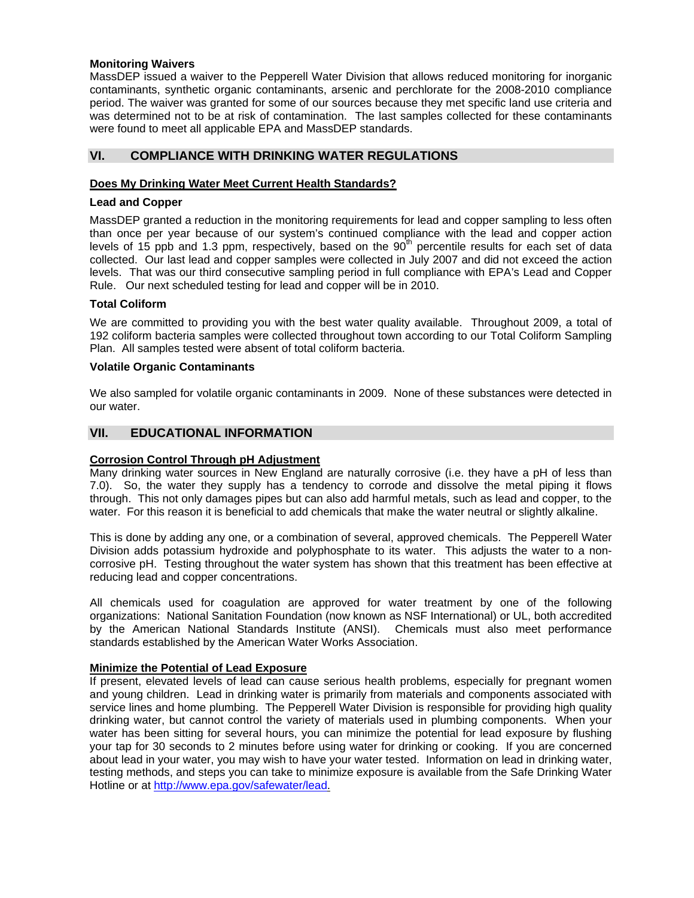#### **Monitoring Waivers**

MassDEP issued a waiver to the Pepperell Water Division that allows reduced monitoring for inorganic contaminants, synthetic organic contaminants, arsenic and perchlorate for the 2008-2010 compliance period. The waiver was granted for some of our sources because they met specific land use criteria and was determined not to be at risk of contamination. The last samples collected for these contaminants were found to meet all applicable EPA and MassDEP standards.

# **VI. COMPLIANCE WITH DRINKING WATER REGULATIONS**

#### **Does My Drinking Water Meet Current Health Standards?**

#### **Lead and Copper**

MassDEP granted a reduction in the monitoring requirements for lead and copper sampling to less often than once per year because of our system's continued compliance with the lead and copper action levels of 15 ppb and 1.3 ppm, respectively, based on the  $90<sup>th</sup>$  percentile results for each set of data collected. Our last lead and copper samples were collected in July 2007 and did not exceed the action levels. That was our third consecutive sampling period in full compliance with EPA's Lead and Copper Rule. Our next scheduled testing for lead and copper will be in 2010.

#### **Total Coliform**

We are committed to providing you with the best water quality available. Throughout 2009, a total of 192 coliform bacteria samples were collected throughout town according to our Total Coliform Sampling Plan. All samples tested were absent of total coliform bacteria.

#### **Volatile Organic Contaminants**

We also sampled for volatile organic contaminants in 2009. None of these substances were detected in our water.

# **VII. EDUCATIONAL INFORMATION**

#### **Corrosion Control Through pH Adjustment**

Many drinking water sources in New England are naturally corrosive (i.e. they have a pH of less than 7.0). So, the water they supply has a tendency to corrode and dissolve the metal piping it flows through. This not only damages pipes but can also add harmful metals, such as lead and copper, to the water. For this reason it is beneficial to add chemicals that make the water neutral or slightly alkaline.

This is done by adding any one, or a combination of several, approved chemicals. The Pepperell Water Division adds potassium hydroxide and polyphosphate to its water. This adjusts the water to a noncorrosive pH. Testing throughout the water system has shown that this treatment has been effective at reducing lead and copper concentrations.

All chemicals used for coagulation are approved for water treatment by one of the following organizations: National Sanitation Foundation (now known as NSF International) or UL, both accredited by the American National Standards Institute (ANSI). Chemicals must also meet performance standards established by the American Water Works Association.

#### **Minimize the Potential of Lead Exposure**

If present, elevated levels of lead can cause serious health problems, especially for pregnant women and young children. Lead in drinking water is primarily from materials and components associated with service lines and home plumbing. The Pepperell Water Division is responsible for providing high quality drinking water, but cannot control the variety of materials used in plumbing components. When your water has been sitting for several hours, you can minimize the potential for lead exposure by flushing your tap for 30 seconds to 2 minutes before using water for drinking or cooking. If you are concerned about lead in your water, you may wish to have your water tested. Information on lead in drinking water, testing methods, and steps you can take to minimize exposure is available from the Safe Drinking Water Hotline or at [http://www.epa.gov/safewater/lead.](http://www.epa.gov/safewater/lead)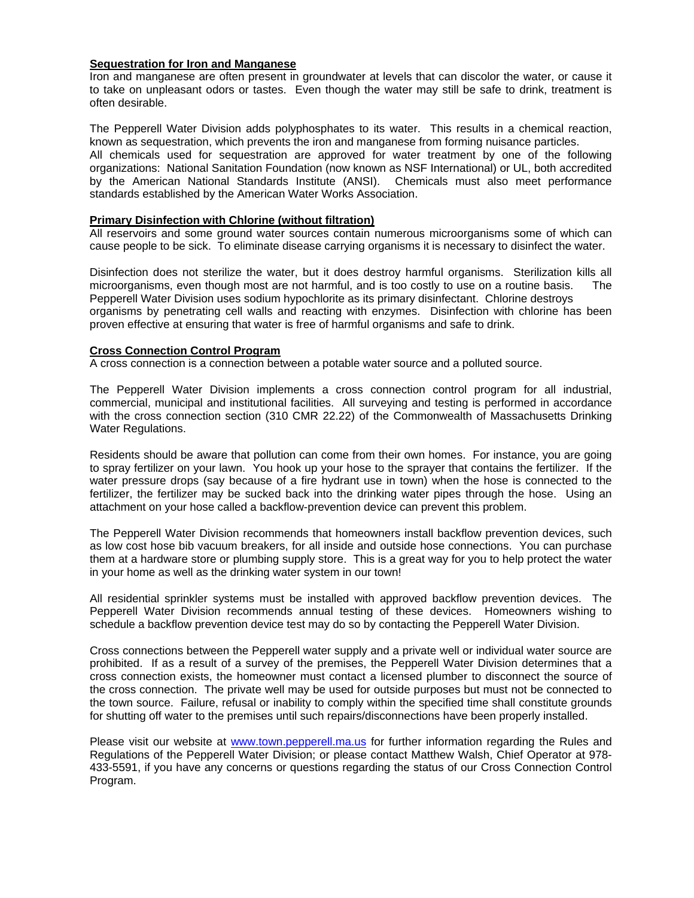#### **Sequestration for Iron and Manganese**

Iron and manganese are often present in groundwater at levels that can discolor the water, or cause it to take on unpleasant odors or tastes. Even though the water may still be safe to drink, treatment is often desirable.

The Pepperell Water Division adds polyphosphates to its water. This results in a chemical reaction, known as sequestration, which prevents the iron and manganese from forming nuisance particles.

All chemicals used for sequestration are approved for water treatment by one of the following organizations: National Sanitation Foundation (now known as NSF International) or UL, both accredited by the American National Standards Institute (ANSI). Chemicals must also meet performance standards established by the American Water Works Association.

#### **Primary Disinfection with Chlorine (without filtration)**

All reservoirs and some ground water sources contain numerous microorganisms some of which can cause people to be sick. To eliminate disease carrying organisms it is necessary to disinfect the water.

Disinfection does not sterilize the water, but it does destroy harmful organisms. Sterilization kills all microorganisms, even though most are not harmful, and is too costly to use on a routine basis. The Pepperell Water Division uses sodium hypochlorite as its primary disinfectant. Chlorine destroys organisms by penetrating cell walls and reacting with enzymes. Disinfection with chlorine has been proven effective at ensuring that water is free of harmful organisms and safe to drink.

#### **Cross Connection Control Program**

A cross connection is a connection between a potable water source and a polluted source.

The Pepperell Water Division implements a cross connection control program for all industrial, commercial, municipal and institutional facilities. All surveying and testing is performed in accordance with the cross connection section (310 CMR 22.22) of the Commonwealth of Massachusetts Drinking Water Regulations.

Residents should be aware that pollution can come from their own homes. For instance, you are going to spray fertilizer on your lawn. You hook up your hose to the sprayer that contains the fertilizer. If the water pressure drops (say because of a fire hydrant use in town) when the hose is connected to the fertilizer, the fertilizer may be sucked back into the drinking water pipes through the hose. Using an attachment on your hose called a backflow-prevention device can prevent this problem.

The Pepperell Water Division recommends that homeowners install backflow prevention devices, such as low cost hose bib vacuum breakers, for all inside and outside hose connections. You can purchase them at a hardware store or plumbing supply store. This is a great way for you to help protect the water in your home as well as the drinking water system in our town!

All residential sprinkler systems must be installed with approved backflow prevention devices. The Pepperell Water Division recommends annual testing of these devices. Homeowners wishing to schedule a backflow prevention device test may do so by contacting the Pepperell Water Division.

Cross connections between the Pepperell water supply and a private well or individual water source are prohibited. If as a result of a survey of the premises, the Pepperell Water Division determines that a cross connection exists, the homeowner must contact a licensed plumber to disconnect the source of the cross connection. The private well may be used for outside purposes but must not be connected to the town source. Failure, refusal or inability to comply within the specified time shall constitute grounds for shutting off water to the premises until such repairs/disconnections have been properly installed.

Please visit our website at [www.town.pepperell.ma.us](http://www.town.pepperell.ma.us/) for further information regarding the Rules and Regulations of the Pepperell Water Division; or please contact Matthew Walsh, Chief Operator at 978- 433-5591, if you have any concerns or questions regarding the status of our Cross Connection Control Program.